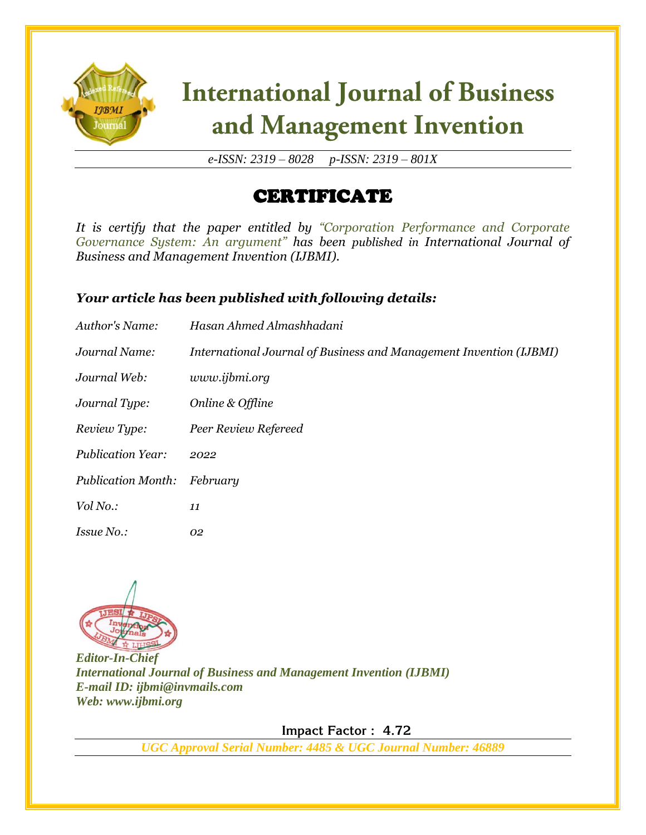

# **International Journal of Business** and Management Invention

*e-ISSN: 2319 – 8028 p-ISSN: 2319 – 801X*

## CERTIFICATE

*It is certify that the paper entitled by "Corporation Performance and Corporate Governance System: An argument" has been published in International Journal of Business and Management Invention (IJBMI).*

### *Your article has been published with following details:*

| Author's Name:            | Hasan Ahmed Almashhadani                                           |
|---------------------------|--------------------------------------------------------------------|
| Journal Name:             | International Journal of Business and Management Invention (IJBMI) |
| Journal Web:              | www.ijbmi.org                                                      |
| Journal Type:             | Online & Offline                                                   |
| Review Type:              | Peer Review Refereed                                               |
| <b>Publication Year:</b>  | 2022                                                               |
| <b>Publication Month:</b> | February                                                           |
| Vol No.:                  | 11                                                                 |
| <i>Issue No.:</i>         | 02                                                                 |



*Editor-In-Chief International Journal of Business and Management Invention (IJBMI) E-mail ID: ijbmi@invmails.com Web: www.ijbmi.org*

 **Impact Factor : 4.72** 

*UGC Approval Serial Number: 4485 & UGC Journal Number: 46889*